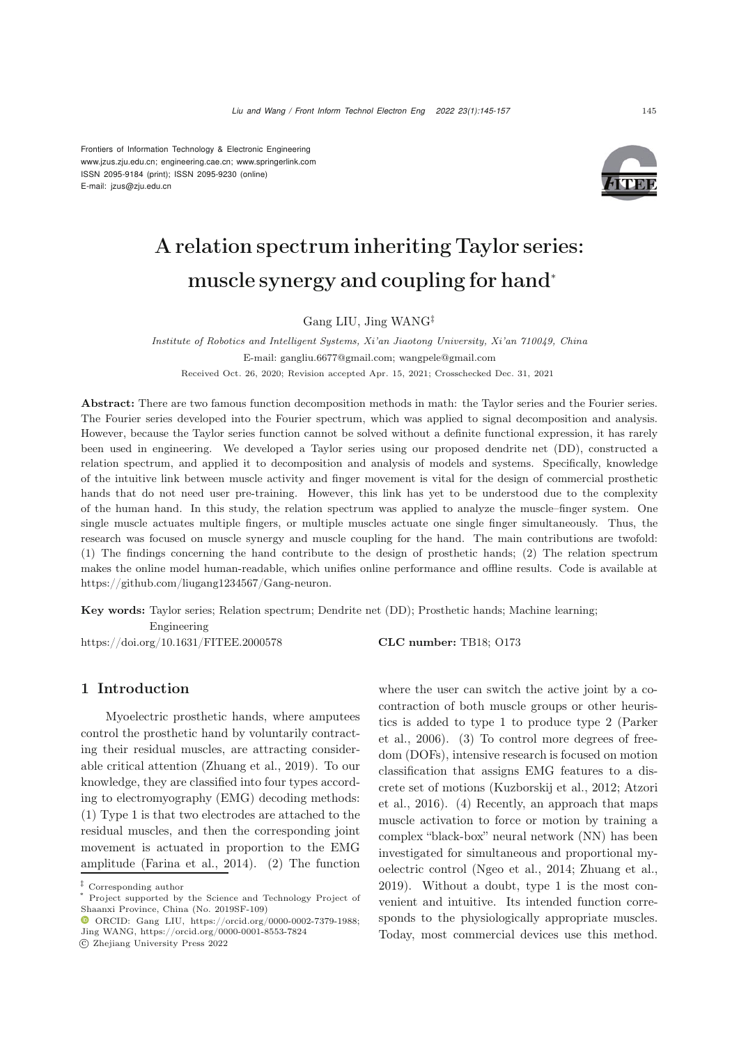Frontiers of Information Technology & Electronic Engineering [www.jzus.zju.edu.cn;](www.jzus.zju.edu.cn) [engineering.cae.cn;](engineering.cae.cn)<www.springerlink.com> ISSN 2095-9184 (print); ISSN 2095-9230 (online) E-mail: jzus@zju.edu.cn



# A relation spectrum inheriting Taylor series: muscle synergy and coupling for hand<sup>∗</sup>

Gang LIU, Jing WANG‡

*Institute of Robotics and Intelligent Systems, Xi'an Jiaotong University, Xi'an 710049, China* E-mail: gangliu.6677@gmail.com; wangpele@gmail.com

Received Oct. 26, 2020; Revision accepted Apr. 15, 2021; Crosschecked Dec. 31, 2021

Abstract: There are two famous function decomposition methods in math: the Taylor series and the Fourier series. The Fourier series developed into the Fourier spectrum, which was applied to signal decomposition and analysis. However, because the Taylor series function cannot be solved without a definite functional expression, it has rarely been used in engineering. We developed a Taylor series using our proposed dendrite net (DD), constructed a relation spectrum, and applied it to decomposition and analysis of models and systems. Specifically, knowledge of the intuitive link between muscle activity and finger movement is vital for the design of commercial prosthetic hands that do not need user pre-training. However, this link has yet to be understood due to the complexity of the human hand. In this study, the relation spectrum was applied to analyze the muscle–finger system. One single muscle actuates multiple fingers, or multiple muscles actuate one single finger simultaneously. Thus, the research was focused on muscle synergy and muscle coupling for the hand. The main contributions are twofold: (1) The findings concerning the hand contribute to the design of prosthetic hands; (2) The relation spectrum makes the online model human-readable, which unifies online performance and offline results. Code is available at https://github.com/liugang1234567/Gang-neuron.

Key words: Taylor series; Relation spectrum; Dendrite net (DD); Prosthetic hands; Machine learning;

Engineering

https://doi.org/10.1631/FITEE.2000578 **CLC number:** TB18; O173

# 1 Introduction

Myoelectric prosthetic hands, where amputees control the prosthetic hand by voluntarily contracting their residual muscles, are attracting considerable critical attention [\(Zhuang et al., 2019\)](#page-12-0). To our knowledge, they are classified into four types according to electromyography (EMG) decoding methods: (1) Type 1 is that two electrodes are attached to the residual muscles, and then the corresponding joint movement is actuated in proportion to the EMG amplitude [\(Farina et al.](#page-11-0), [2014](#page-11-0)). (2) The function

c Zhejiang University Press 2022

where the user can switch the active joint by a cocontraction of both muscle groups or other heuristics i[s](#page-12-1) [added](#page-12-1) [to](#page-12-1) [type](#page-12-1) [1](#page-12-1) [to](#page-12-1) [produce](#page-12-1) [type](#page-12-1) [2](#page-12-1) [\(](#page-12-1)Parker et al., [2006](#page-12-1)). (3) To control more degrees of freedom (DOFs), intensive research is focused on motion classification that assigns EMG features to a discrete [set](#page-11-1) [of](#page-11-1) [motions](#page-11-1) [\(Kuzborskij et al.](#page-12-2)[,](#page-11-1) [2012](#page-12-2)[;](#page-11-1) Atzori et al., [2016](#page-11-1)). (4) Recently, an approach that maps muscle activation to force or motion by training a complex "black-box" neural network (NN) has been investigated for simultaneous and proportional myoelectric control [\(Ngeo et al.](#page-12-3), [2014;](#page-12-3) [Zhuang et al.](#page-12-0), [2019](#page-12-0)). Without a doubt, type 1 is the most convenient and intuitive. Its intended function corresponds to the physiologically appropriate muscles. Today, most commercial devices use this method.

*<sup>‡</sup>* Corresponding author

Project supported by the Science and Technology Project of Shaanxi Province, China (No. 2019SF-109)

ORCID: Gang LIU, https://orcid.org/0000-0002-7379-1988; Jing WANG, https://orcid.org/0000-0001-8553-7824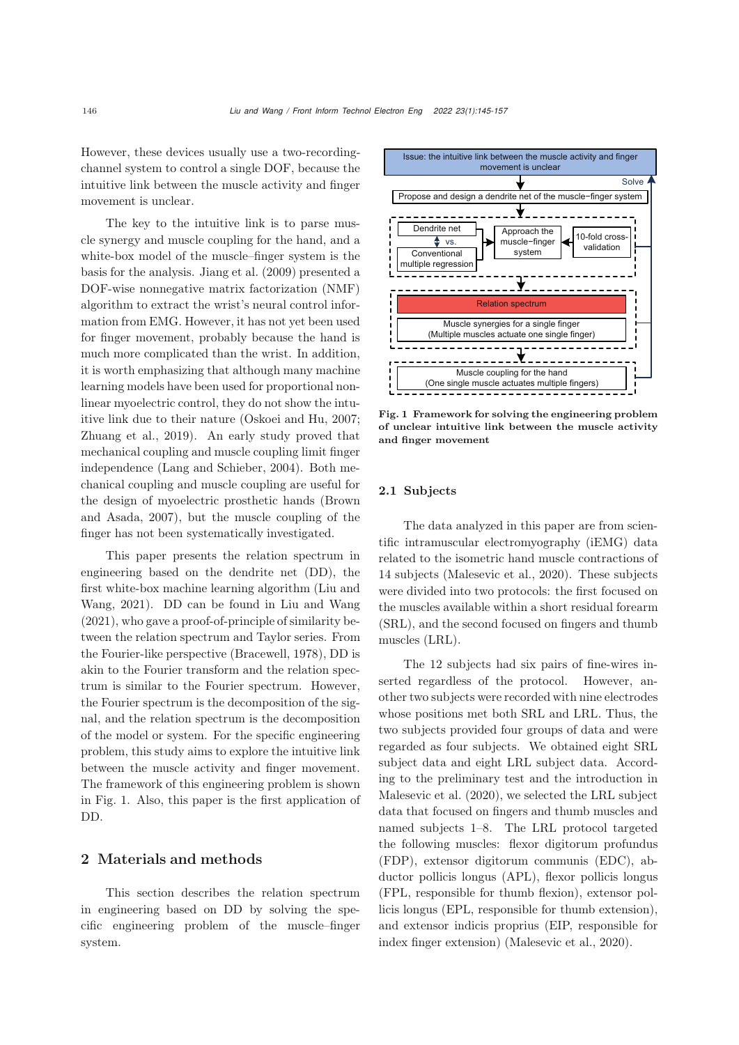However, these devices usually use a two-recordingchannel system to control a single DOF, because the intuitive link between the muscle activity and finger movement is unclear.

The key to the intuitive link is to parse muscle synergy and muscle coupling for the hand, and a white-box model of the muscle–finger system is the basis for the analysis. [Jiang et al.](#page-11-2) [\(2009\)](#page-11-2) presented a DOF-wise nonnegative matrix factorization (NMF) algorithm to extract the wrist's neural control information from EMG. However, it has not yet been used for finger movement, probably because the hand is much more complicated than the wrist. In addition, it is worth emphasizing that although many machine learning models have been used for proportional nonlinear myoelectric control, they do not show the intuitive link due to their nature [\(Oskoei and Hu](#page-12-4), [2007;](#page-12-4) [Zhuang et al.](#page-12-0), [2019](#page-12-0)). An early study proved that mechanical coupling and muscle coupling limit finger independence [\(Lang and Schieber, 2004\)](#page-12-5). Both mechanical coupling and muscle coupling are useful for the design [of](#page-11-3) [myoelectric](#page-11-3) [prosthetic](#page-11-3) [hands](#page-11-3) [\(](#page-11-3)Brown and Asada, [2007](#page-11-3)), but the muscle coupling of the finger has not been systematically investigated.

This paper presents the relation spectrum in engineering based on the dendrite net (DD), the first [white-box](#page-12-6) [machine](#page-12-6) [learning](#page-12-6) [algorithm](#page-12-6) [\(](#page-12-6)Liu and Wang, [2021](#page-12-6)). DD can be found in [Liu and Wang](#page-12-6) [\(2021](#page-12-6)), who gave a proof-of-principle of similarity between the relation spectrum and Taylor series. From the Fourier-like perspective [\(Bracewell](#page-11-4), [1978](#page-11-4)), DD is akin to the Fourier transform and the relation spectrum is similar to the Fourier spectrum. However, the Fourier spectrum is the decomposition of the signal, and the relation spectrum is the decomposition of the model or system. For the specific engineering problem, this study aims to explore the intuitive link between the muscle activity and finger movement. The framework of this engineering problem is shown in Fig. [1.](#page-1-0) Also, this paper is the first application of DD.

#### 2 Materials and methods

This section describes the relation spectrum in engineering based on DD by solving the specific engineering problem of the muscle–finger system.



<span id="page-1-0"></span>Fig. 1 Framework for solving the engineering problem of unclear intuitive link between the muscle activity and finger movement

#### 2.1 Subjects

The data analyzed in this paper are from scientific intramuscular electromyography (iEMG) data related to the isometric hand muscle contractions of 14 subjects [\(Malesevic et al.](#page-12-7), [2020\)](#page-12-7). These subjects were divided into two protocols: the first focused on the muscles available within a short residual forearm (SRL), and the second focused on fingers and thumb muscles (LRL).

The 12 subjects had six pairs of fine-wires inserted regardless of the protocol. However, another two subjects were recorded with nine electrodes whose positions met both SRL and LRL. Thus, the two subjects provided four groups of data and were regarded as four subjects. We obtained eight SRL subject data and eight LRL subject data. According to the preliminary test and the introduction in [Malesevic et al.](#page-12-7) [\(2020\)](#page-12-7), we selected the LRL subject data that focused on fingers and thumb muscles and named subjects 1–8. The LRL protocol targeted the following muscles: flexor digitorum profundus (FDP), extensor digitorum communis (EDC), abductor pollicis longus (APL), flexor pollicis longus (FPL, responsible for thumb flexion), extensor pollicis longus (EPL, responsible for thumb extension), and extensor indicis proprius (EIP, responsible for index finger extension) [\(Malesevic et al.](#page-12-7), [2020](#page-12-7)).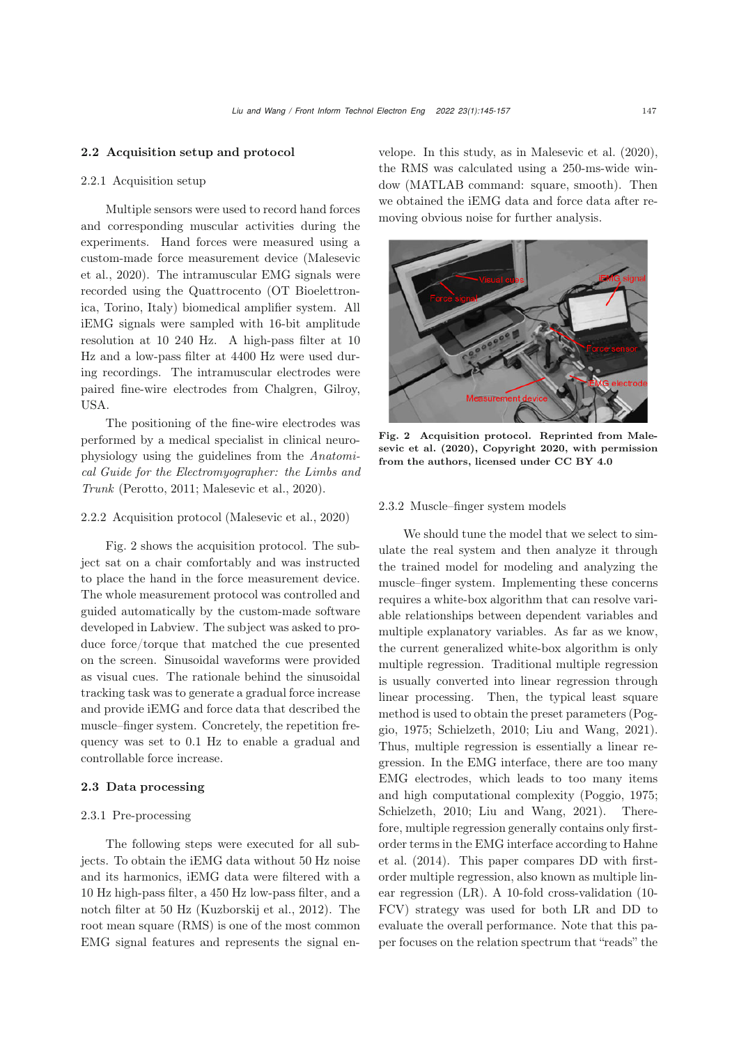#### 2.2 Acquisition setup and protocol

## 2.2.1 Acquisition setup

Multiple sensors were used to record hand forces and corresponding muscular activities during the experiments. Hand forces were measured using a custo[m-made](#page-12-7) [force](#page-12-7) [measurement](#page-12-7) [device](#page-12-7) [\(](#page-12-7)Malesevic et al., [2020](#page-12-7)). The intramuscular EMG signals were recorded using the Quattrocento (OT Bioelettronica, Torino, Italy) biomedical amplifier system. All iEMG signals were sampled with 16-bit amplitude resolution at 10 240 Hz. A high-pass filter at 10 Hz and a low-pass filter at 4400 Hz were used during recordings. The intramuscular electrodes were paired fine-wire electrodes from Chalgren, Gilroy, USA.

The positioning of the fine-wire electrodes was performed by a medical specialist in clinical neurophysiology using the guidelines from the *Anatomical Guide for the Electromyographer: the Limbs and Trunk* [\(Perotto, 2011;](#page-12-8) [Malesevic et al.](#page-12-7), [2020](#page-12-7)).

#### 2.2.2 Acquisition protocol [\(Malesevic et al.](#page-12-7), [2020](#page-12-7))

Fig. [2](#page-2-0) shows the acquisition protocol. The subject sat on a chair comfortably and was instructed to place the hand in the force measurement device. The whole measurement protocol was controlled and guided automatically by the custom-made software developed in Labview. The subject was asked to produce force/torque that matched the cue presented on the screen. Sinusoidal waveforms were provided as visual cues. The rationale behind the sinusoidal tracking task was to generate a gradual force increase and provide iEMG and force data that described the muscle–finger system. Concretely, the repetition frequency was set to 0.1 Hz to enable a gradual and controllable force increase.

#### 2.3 Data processing

#### 2.3.1 Pre-processing

The following steps were executed for all subjects. To obtain the iEMG data without 50 Hz noise and its harmonics, iEMG data were filtered with a 10 Hz high-pass filter, a 450 Hz low-pass filter, and a notch filter at 50 Hz [\(Kuzborskij et al., 2012](#page-12-2)). The root mean square (RMS) is one of the most common EMG signal features and represents the signal envelope. In this study, as in [Malesevic et al.](#page-12-7) [\(2020\)](#page-12-7), the RMS was calculated using a 250-ms-wide window (MATLAB command: square, smooth). Then we obtained the iEMG data and force data after removing obvious noise for further analysis.



<span id="page-2-0"></span>Fig. 2 Ac[quisition](#page-12-7) [protocol.](#page-12-7) [Reprinted](#page-12-7) [from](#page-12-7) Malesevic et al. [\(2020\)](#page-12-7), Copyright 2020, with permission from the authors, licensed under CC BY 4.0

#### 2.3.2 Muscle–finger system models

We should tune the model that we select to simulate the real system and then analyze it through the trained model for modeling and analyzing the muscle–finger system. Implementing these concerns requires a white-box algorithm that can resolve variable relationships between dependent variables and multiple explanatory variables. As far as we know, the current generalized white-box algorithm is only multiple regression. Traditional multiple regression is usually converted into linear regression through linear processing. Then, the typical least square me[thod](#page-12-9) [is](#page-12-9) [used](#page-12-9) [to](#page-12-9) [obtain](#page-12-9) [the](#page-12-9) [preset](#page-12-9) [parameters](#page-12-9) [\(](#page-12-9)Poggio, [1975](#page-12-9); [Schielzeth](#page-12-10), [2010;](#page-12-10) [Liu and Wang](#page-12-6), [2021\)](#page-12-6). Thus, multiple regression is essentially a linear regression. In the EMG interface, there are too many EMG electrodes, which leads to too many items and high computational complexity [\(Poggio](#page-12-9), [1975;](#page-12-9) [Schielzeth, 2010](#page-12-10); [Liu and Wang](#page-12-6), [2021\)](#page-12-6). Therefore, multiple regression generally contains only firstorde[r](#page-11-5) [terms](#page-11-5) [in](#page-11-5) [the](#page-11-5) [EMG](#page-11-5) [interface](#page-11-5) [according](#page-11-5) [to](#page-11-5) Hahne et al. [\(2014](#page-11-5)). This paper compares DD with firstorder multiple regression, also known as multiple linear regression (LR). A 10-fold cross-validation (10- FCV) strategy was used for both LR and DD to evaluate the overall performance. Note that this paper focuses on the relation spectrum that "reads" the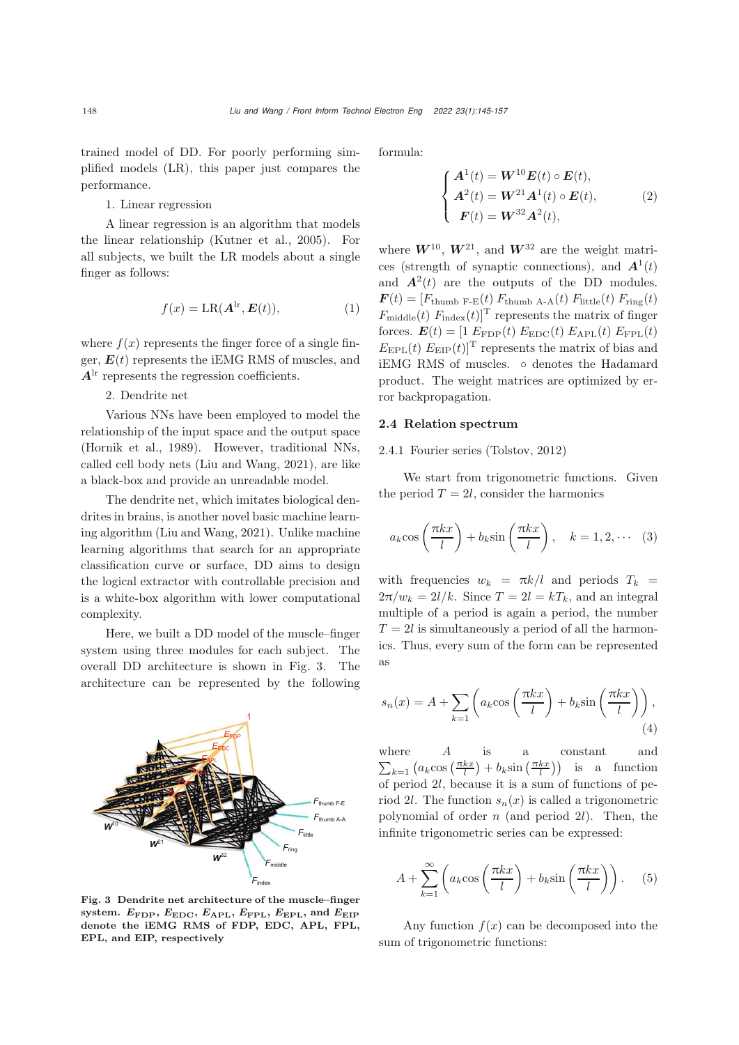trained model of DD. For poorly performing simplified models (LR), this paper just compares the performance.

1. Linear regression

A linear regression is an algorithm that models the linear relationship [\(Kutner et al.](#page-12-11), [2005\)](#page-12-11). For all subjects, we built the LR models about a single finger as follows:

$$
f(x) = \text{LR}(\mathbf{A}^{\text{lr}}, \mathbf{E}(t)),\tag{1}
$$

where  $f(x)$  represents the finger force of a single finger,  $E(t)$  represents the iEMG RMS of muscles, and  $A<sup>lr</sup>$  represents the regression coefficients.

#### 2. Dendrite net

Various NNs have been employed to model the relationship of the input space and the output space [\(Hornik et al., 1989\)](#page-11-6). However, traditional NNs, called cell body nets [\(Liu and Wang, 2021](#page-12-6)), are like a black-box and provide an unreadable model.

The dendrite net, which imitates biological dendrites in brains, is another novel basic machine learning algorithm [\(Liu and Wang, 2021](#page-12-6)). Unlike machine learning algorithms that search for an appropriate classification curve or surface, DD aims to design the logical extractor with controllable precision and is a white-box algorithm with lower computational complexity.

Here, we built a DD model of the muscle–finger system using three modules for each subject. The overall DD architecture is shown in Fig. [3.](#page-3-0) The architecture can be represented by the following



<span id="page-3-0"></span>Fig. 3 Dendrite net architecture of the muscle–finger system.  $E_{\text{FDP}}$ ,  $E_{\text{EDC}}$ ,  $E_{\text{APL}}$ ,  $E_{\text{FPL}}$ ,  $E_{\text{EPL}}$ , and  $E_{\text{EIP}}$ denote the iEMG RMS of FDP, EDC, APL, FPL, EPL, and EIP, respectively

formula:

$$
\begin{cases}\nA^{1}(t) = W^{10}E(t) \circ E(t), \\
A^{2}(t) = W^{21}A^{1}(t) \circ E(t), \\
F(t) = W^{32}A^{2}(t),\n\end{cases}
$$
\n(2)

where  $W^{10}$ ,  $W^{21}$ , and  $W^{32}$  are the weight matrices (strength of synaptic connections), and  $\mathbf{A}^{1}(t)$ and  $\mathbf{A}^2(t)$  are the outputs of the DD modules.  $\boldsymbol{F}(t)=[F_{\text{thumb F-E}}(t) \ F_{\text{thumb A-A}}(t) \ F_{\text{little}}(t) \ F_{\text{ring}}(t)$  $F_{\text{middle}}(t)$   $F_{\text{index}}(t)$ <sup>T</sup> represents the matrix of finger forces.  $\boldsymbol{E}(t) = [1 \ E_{\rm FDP}(t) \ E_{\rm EDC}(t) \ E_{\rm APL}(t) \ E_{\rm FPL}(t)]$  $E_{\rm EPL}(t) E_{\rm EIP}(t)$ <sup>T</sup> represents the matrix of bias and iEMG RMS of muscles. ◦ denotes the Hadamard product. The weight matrices are optimized by error backpropagation.

#### 2.4 Relation spectrum

#### 2.4.1 Fourier series [\(Tolstov](#page-12-12), [2012\)](#page-12-12)

We start from trigonometric functions. Given the period  $T = 2l$ , consider the harmonics

$$
a_k \cos\left(\frac{\pi k x}{l}\right) + b_k \sin\left(\frac{\pi k x}{l}\right), \quad k = 1, 2, \cdots \quad (3)
$$

with frequencies  $w_k = \pi k/l$  and periods  $T_k =$  $2\pi/w_k = 2l/k$ . Since  $T = 2l = kT_k$ , and an integral multiple of a period is again a period, the number  $T = 2l$  is simultaneously a period of all the harmonics. Thus, every sum of the form can be represented as

$$
s_n(x) = A + \sum_{k=1} \left( a_k \cos\left(\frac{\pi k x}{l}\right) + b_k \sin\left(\frac{\pi k x}{l}\right) \right),\tag{4}
$$

where  $A$  is a constant and  $\sum_{k=1}$   $(a_k \cos\left(\frac{\pi kx}{l}\right) + b_k \sin\left(\frac{\pi kx}{l}\right))$  is a function of period 2l, because it is a sum of functions of period 2*l*. The function  $s_n(x)$  is called a trigonometric polynomial of order  $n$  (and period 2l). Then, the infinite trigonometric series can be expressed:

$$
A + \sum_{k=1}^{\infty} \left( a_k \cos\left(\frac{\pi k x}{l}\right) + b_k \sin\left(\frac{\pi k x}{l}\right) \right). \tag{5}
$$

Any function  $f(x)$  can be decomposed into the sum of trigonometric functions: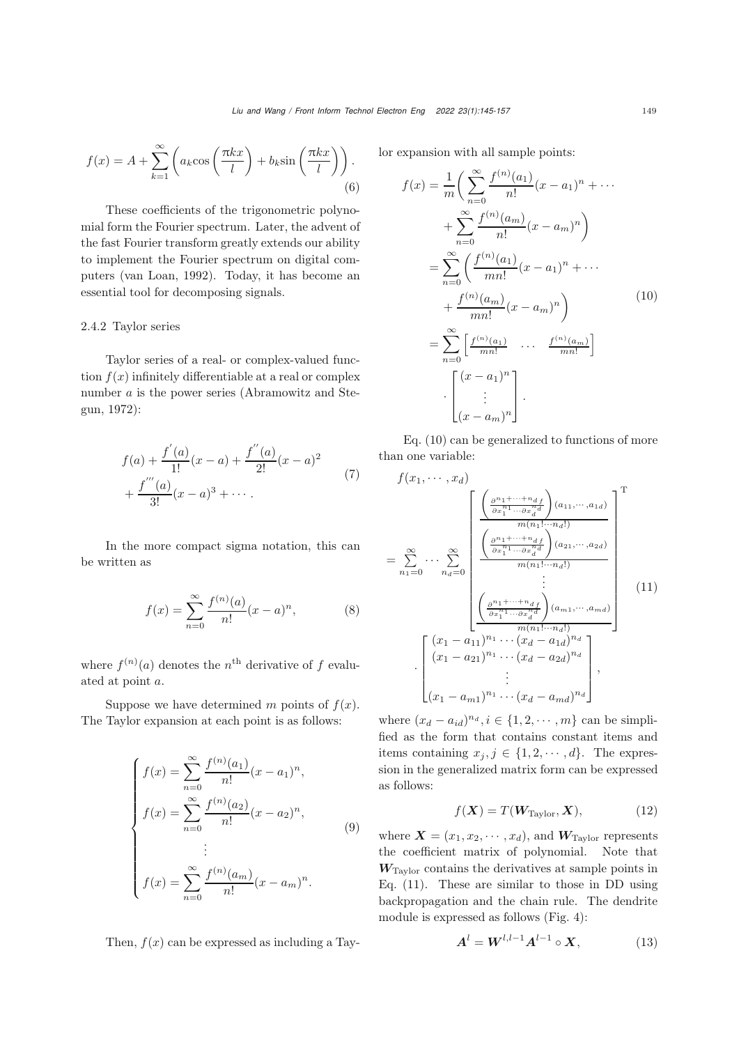$$
f(x) = A + \sum_{k=1}^{\infty} \left( a_k \cos\left(\frac{\pi k x}{l}\right) + b_k \sin\left(\frac{\pi k x}{l}\right) \right).
$$
\n(6)

These coefficients of the trigonometric polynomial form the Fourier spectrum. Later, the advent of the fast Fourier transform greatly extends our ability to implement the Fourier spectrum on digital computers [\(van Loan](#page-12-13), [1992\)](#page-12-13). Today, it has become an essential tool for decomposing signals.

#### 2.4.2 Taylor series

Taylor series of a real- or complex-valued function  $f(x)$  infinitely differentiable at a real or complex number a [is](#page-11-7) [the](#page-11-7) [power](#page-11-7) [series](#page-11-7) [\(](#page-11-7)Abramowitz and Stegun, [1972](#page-11-7)):

$$
f(a) + \frac{f'(a)}{1!}(x-a) + \frac{f''(a)}{2!}(x-a)^2 + \frac{f'''(a)}{3!}(x-a)^3 + \cdots
$$
 (7)

In the more compact sigma notation, this can be written as

$$
f(x) = \sum_{n=0}^{\infty} \frac{f^{(n)}(a)}{n!} (x - a)^n,
$$
 (8)

where  $f^{(n)}(a)$  denotes the  $n^{\text{th}}$  derivative of f evaluated at point a.

Suppose we have determined m points of  $f(x)$ . The Taylor expansion at each point is as follows:

$$
\begin{cases}\nf(x) = \sum_{n=0}^{\infty} \frac{f^{(n)}(a_1)}{n!} (x - a_1)^n, \\
f(x) = \sum_{n=0}^{\infty} \frac{f^{(n)}(a_2)}{n!} (x - a_2)^n, \\
\vdots \\
f(x) = \sum_{n=0}^{\infty} \frac{f^{(n)}(a_m)}{n!} (x - a_m)^n.\n\end{cases} \tag{9}
$$

Then,  $f(x)$  can be expressed as including a Tay-

lor expansion with all sample points:

<span id="page-4-0"></span>
$$
f(x) = \frac{1}{m} \bigg( \sum_{n=0}^{\infty} \frac{f^{(n)}(a_1)}{n!} (x - a_1)^n + \cdots + \sum_{n=0}^{\infty} \frac{f^{(n)}(a_m)}{n!} (x - a_m)^n \bigg)
$$
  
= 
$$
\sum_{n=0}^{\infty} \bigg( \frac{f^{(n)}(a_1)}{mn!} (x - a_1)^n + \cdots + \frac{f^{(n)}(a_m)}{mn!} (x - a_m)^n \bigg)
$$
  
= 
$$
\sum_{n=0}^{\infty} \bigg[ \frac{f^{(n)}(a_1)}{mn!} \cdots \frac{f^{(n)}(a_m)}{mn!} \bigg]
$$
  
= 
$$
\bigg[ \bigg( \frac{x - a_1}{n!} \bigg)^n \bigg] \cdot \bigg[ (x - a_m)^n \bigg].
$$
 (10)

Eq. [\(10\)](#page-4-0) can be generalized to functions of more than one variable:

<span id="page-4-1"></span>
$$
f(x_1, \dots, x_d)
$$
\n
$$
= \sum_{n_1=0}^{\infty} \dots \sum_{n_d=0}^{\infty} \left[ \frac{\left( \frac{\partial^{n_1 + \dots + n_d f}}{\partial x_1^{n_1} \dots \partial x_d^{n_d}} \right) (a_{11}, \dots, a_{1d})}{m(n_1! \dots n_d!)} \right]^{T}
$$
\n
$$
= \sum_{n_1=0}^{\infty} \dots \sum_{n_d=0}^{\infty} \left[ \frac{\left( \frac{\partial^{n_1 + \dots + n_d f}}{\partial x_1^{n_1} \dots \partial x_d^{n_d}} \right) (a_{21}, \dots, a_{2d})}{m(n_1! \dots n_d!)} \right]^{T}
$$
\n
$$
\cdot \left[ \frac{(x_1 - a_{11})^{n_1} \dots (x_d - a_{1d})^{n_d}}{(x_1 - a_{21})^{n_1} \dots (x_d - a_{2d})^{n_d}} \right],
$$
\n
$$
\left[ (x_1 - a_{m1})^{n_1} \dots (x_d - a_{md})^{n_d} \right],
$$
\n
$$
(11)
$$

where  $(x_d - a_{id})^{n_d}$ ,  $i \in \{1, 2, \dots, m\}$  can be simplified as the form that contains constant items and items containing  $x_j, j \in \{1, 2, \dots, d\}$ . The expression in the generalized matrix form can be expressed as follows:

$$
f(\mathbf{X}) = T(\mathbf{W}_{\text{Taylor}}, \mathbf{X}), \tag{12}
$$

where  $\boldsymbol{X} = (x_1, x_2, \cdots, x_d)$ , and  $\boldsymbol{W}_{\text{Taylor}}$  represents the coefficient matrix of polynomial. Note that *W*Taylor contains the derivatives at sample points in Eq. [\(11\)](#page-4-1). These are similar to those in DD using backpropagation and the chain rule. The dendrite module is expressed as follows (Fig. [4\)](#page-5-0):

<span id="page-4-2"></span>
$$
\mathbf{A}^{l} = \mathbf{W}^{l,l-1} \mathbf{A}^{l-1} \circ \mathbf{X},\tag{13}
$$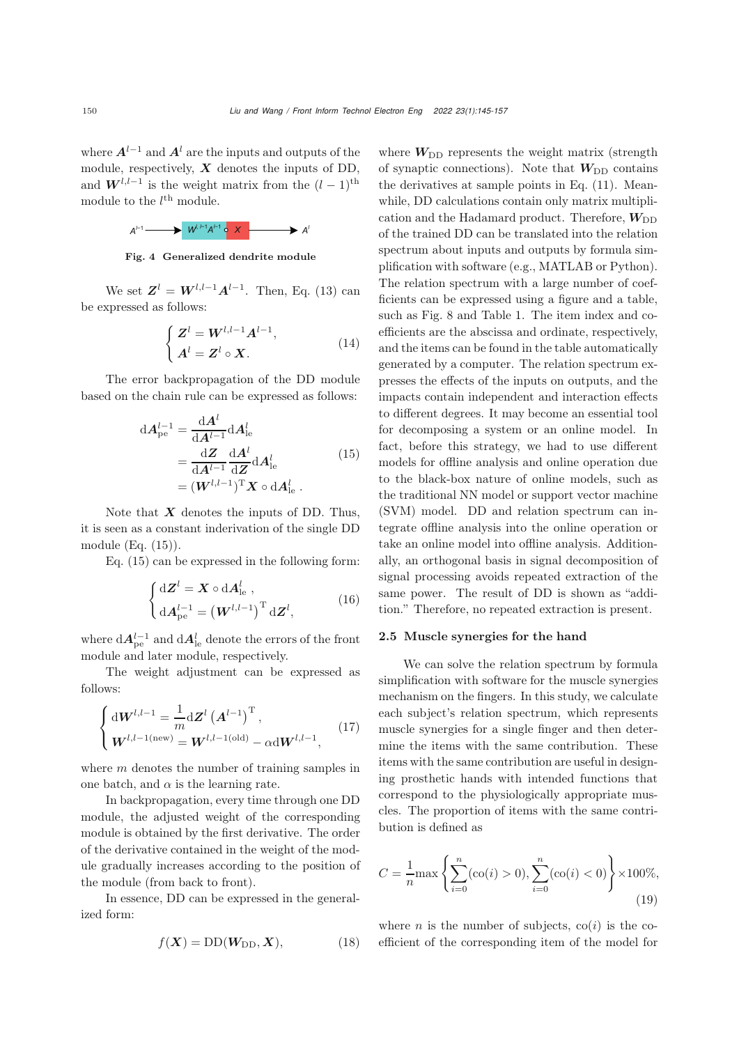where  $A^{l-1}$  and  $A^l$  are the inputs and outputs of the module, respectively, *X* denotes the inputs of DD, and  $W^{l,l-1}$  is the weight matrix from the  $(l-1)$ <sup>th</sup> module to the  $l^{\text{th}}$  module.



<span id="page-5-0"></span>Fig. 4 Generalized dendrite module

We set  $\mathbf{Z}^l = \mathbf{W}^{l,l-1}\mathbf{A}^{l-1}$ . Then, Eq. [\(13\)](#page-4-2) can be expressed as follows:

$$
\begin{cases}\nZ^{l} = W^{l,l-1} A^{l-1}, \\
A^{l} = Z^{l} \circ X.\n\end{cases}
$$
\n(14)

The error backpropagation of the DD module based on the chain rule can be expressed as follows:

<span id="page-5-1"></span>
$$
dA_{\text{pe}}^{l-1} = \frac{dA^l}{dA^{l-1}} dA_{\text{le}}^l
$$
  
= 
$$
\frac{dZ}{dA^{l-1}} \frac{dA^l}{dZ} dA_{\text{le}}^l
$$
  
= 
$$
(W^{l,l-1})^{\text{T}} X \circ dA_{\text{le}}^l.
$$
 (15)

Note that *X* denotes the inputs of DD. Thus, it is seen as a constant inderivation of the single DD module (Eq. [\(15\)](#page-5-1)).

Eq. [\(15\)](#page-5-1) can be expressed in the following form:

$$
\begin{cases} d\mathbf{Z}^{l} = \mathbf{X} \circ d\mathbf{A}_{\text{le}}^{l}, \\ d\mathbf{A}_{\text{pe}}^{l-1} = \left(\mathbf{W}^{l,l-1}\right)^{\text{T}} d\mathbf{Z}^{l}, \end{cases}
$$
(16)

where  $dA_{\rm pe}^{l-1}$  and  $dA_{\rm le}^l$  denote the errors of the front module and later module, respectively.

The weight adjustment can be expressed as follows:

$$
\begin{cases} \mathrm{d} \mathbf{W}^{l,l-1} = \frac{1}{m} \mathrm{d} \mathbf{Z}^l \left( \mathbf{A}^{l-1} \right)^{\mathrm{T}}, \\ \mathbf{W}^{l,l-1(\mathrm{new})} = \mathbf{W}^{l,l-1(\mathrm{old})} - \alpha \mathrm{d} \mathbf{W}^{l,l-1}, \end{cases} (17)
$$

where  $m$  denotes the number of training samples in one batch, and  $\alpha$  is the learning rate.

In backpropagation, every time through one DD module, the adjusted weight of the corresponding module is obtained by the first derivative. The order of the derivative contained in the weight of the module gradually increases according to the position of the module (from back to front).

In essence, DD can be expressed in the generalized form:

$$
f(\mathbf{X}) = \text{DD}(\mathbf{W}_{\text{DD}}, \mathbf{X}),\tag{18}
$$

where  $W_{\text{DD}}$  represents the weight matrix (strength of synaptic connections). Note that  $W_{\text{DD}}$  contains the derivatives at sample points in Eq. [\(11\)](#page-4-1). Meanwhile, DD calculations contain only matrix multiplication and the Hadamard product. Therefore,  $W_{\text{DD}}$ of the trained DD can be translated into the relation spectrum about inputs and outputs by formula simplification with software (e.g., MATLAB or Python). The relation spectrum with a large number of coefficients can be expressed using a figure and a table, such as Fig. [8](#page-8-0) and Table [1.](#page-9-0) The item index and coefficients are the abscissa and ordinate, respectively, and the items can be found in the table automatically generated by a computer. The relation spectrum expresses the effects of the inputs on outputs, and the impacts contain independent and interaction effects to different degrees. It may become an essential tool for decomposing a system or an online model. In fact, before this strategy, we had to use different models for offline analysis and online operation due to the black-box nature of online models, such as the traditional NN model or support vector machine (SVM) model. DD and relation spectrum can integrate offline analysis into the online operation or take an online model into offline analysis. Additionally, an orthogonal basis in signal decomposition of signal processing avoids repeated extraction of the same power. The result of DD is shown as "addition." Therefore, no repeated extraction is present.

#### 2.5 Muscle synergies for the hand

We can solve the relation spectrum by formula simplification with software for the muscle synergies mechanism on the fingers. In this study, we calculate each subject's relation spectrum, which represents muscle synergies for a single finger and then determine the items with the same contribution. These items with the same contribution are useful in designing prosthetic hands with intended functions that correspond to the physiologically appropriate muscles. The proportion of items with the same contribution is defined as

<span id="page-5-2"></span>
$$
C = \frac{1}{n} \max \left\{ \sum_{i=0}^{n} (\operatorname{co}(i) > 0), \sum_{i=0}^{n} (\operatorname{co}(i) < 0) \right\} \times 100\%,\tag{19}
$$

where *n* is the number of subjects,  $\text{co}(i)$  is the coefficient of the corresponding item of the model for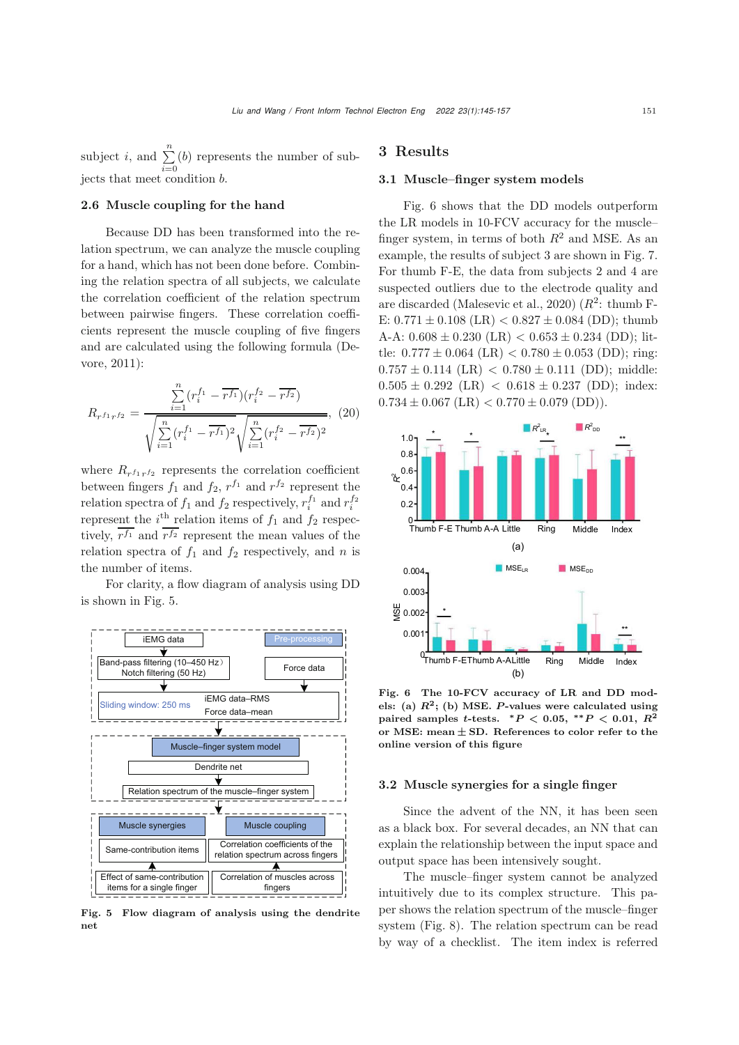subject *i*, and  $\sum_{i=0}^{n}$ (b) represents the number of subjects that meet condition b.

## 2.6 Muscle coupling for the hand

Because DD has been transformed into the relation spectrum, we can analyze the muscle coupling for a hand, which has not been done before. Combining the relation spectra of all subjects, we calculate the correlation coefficient of the relation spectrum between pairwise fingers. These correlation coefficients represent the muscle coupling of five fingers and [are](#page-11-8) [calculated](#page-11-8) [using](#page-11-8) [the](#page-11-8) [following](#page-11-8) [formula](#page-11-8) [\(](#page-11-8)Devore, [2011](#page-11-8)):

$$
R_{r^{f_1}r^{f_2}} = \frac{\sum_{i=1}^n (r_i^{f_1} - \overline{r^{f_1}})(r_i^{f_2} - \overline{r^{f_2}})}{\sqrt{\sum_{i=1}^n (r_i^{f_1} - \overline{r^{f_1}})^2} \sqrt{\sum_{i=1}^n (r_i^{f_2} - \overline{r^{f_2}})^2}}, \quad (20)
$$

where  $R_{rf_1rf_2}$  represents the correlation coefficient between fingers  $f_1$  and  $f_2$ ,  $r^{f_1}$  and  $r^{f_2}$  represent the relation spectra of  $f_1$  and  $f_2$  respectively,  $r_i^{f_1}$  and  $r_i^{f_2}$ <br>represent the  $i$ <sup>th</sup> relation items of  $f_1$  and  $f_2$  respectively,  $\overline{r^{f_1}}$  and  $\overline{r^{f_2}}$  represent the mean values of the relation spectra of  $f_1$  and  $f_2$  respectively, and n is the number of items.

For clarity, a flow diagram of analysis using DD is shown in Fig. [5.](#page-6-0)



<span id="page-6-0"></span>Fig. 5 Flow diagram of analysis using the dendrite net

# 3 Results

#### 3.1 Muscle–finger system models

Fig. [6](#page-6-1) shows that the DD models outperform the LR models in 10-FCV accuracy for the muscle– finger system, in terms of both  $R^2$  and MSE. As an example, the results of subject 3 are shown in Fig. [7.](#page-7-0) For thumb F-E, the data from subjects 2 and 4 are suspected outliers due to the electrode quality and are discarded [\(Malesevic et al., 2020](#page-12-7))  $(R^2: \text{ thumb F}$ -E:  $0.771 \pm 0.108$  (LR)  $< 0.827 \pm 0.084$  (DD); thumb A-A:  $0.608 \pm 0.230$  (LR)  $< 0.653 \pm 0.234$  (DD); little:  $0.777 \pm 0.064$  (LR)  $< 0.780 \pm 0.053$  (DD); ring:  $0.757 \pm 0.114$  (LR)  $< 0.780 \pm 0.111$  (DD); middle:  $0.505 \pm 0.292$  (LR)  $< 0.618 \pm 0.237$  (DD); index:  $0.734 \pm 0.067$  (LR)  $< 0.770 \pm 0.079$  (DD)).



<span id="page-6-1"></span>Fig. 6 The 10-FCV accuracy of LR and DD models: (a)  $R^2$ ; (b) MSE. *P*-values were calculated using  $p^{\text{direct}}$  samples *t*-tests.  $*P < 0.05$ ,  $*P < 0.01$ ,  $R^2$ or MSE: **mean** *±* **SD**. References to color refer to the online version of this figure

#### 3.2 Muscle synergies for a single finger

Since the advent of the NN, it has been seen as a black box. For several decades, an NN that can explain the relationship between the input space and output space has been intensively sought.

The muscle–finger system cannot be analyzed intuitively due to its complex structure. This paper shows the relation spectrum of the muscle–finger system (Fig. [8\)](#page-8-0). The relation spectrum can be read by way of a checklist. The item index is referred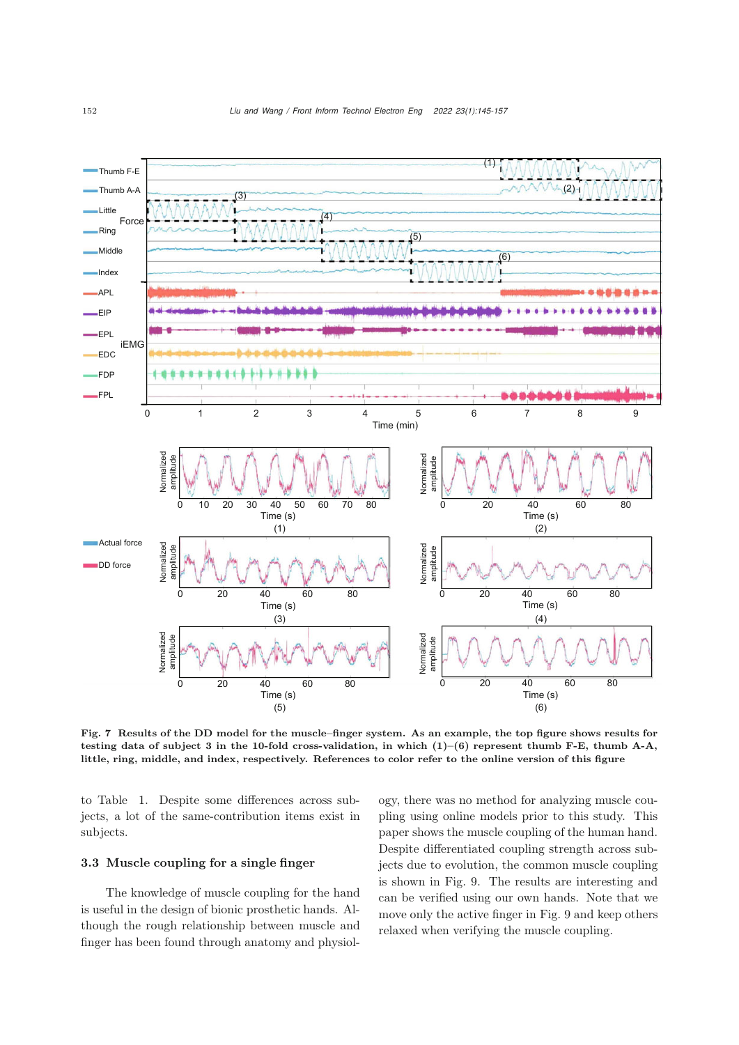

<span id="page-7-0"></span>Fig. 7 Results of the DD model for the muscle–finger system. As an example, the top figure shows results for testing data of subject 3 in the 10-fold cross-validation, in which  $(1)-(6)$  represent thumb F-E, thumb A-A, little, ring, middle, and index, respectively. References to color refer to the online version of this figure

to Table [1.](#page-9-0) Despite some differences across subjects, a lot of the same-contribution items exist in subjects.

### 3.3 Muscle coupling for a single finger

The knowledge of muscle coupling for the hand is useful in the design of bionic prosthetic hands. Although the rough relationship between muscle and finger has been found through anatomy and physiol-

ogy, there was no method for analyzing muscle coupling using online models prior to this study. This paper shows the muscle coupling of the human hand. Despite differentiated coupling strength across subjects due to evolution, the common muscle coupling is shown in Fig. [9.](#page-9-1) The results are interesting and can be verified using our own hands. Note that we move only the active finger in Fig. [9](#page-9-1) and keep others relaxed when verifying the muscle coupling.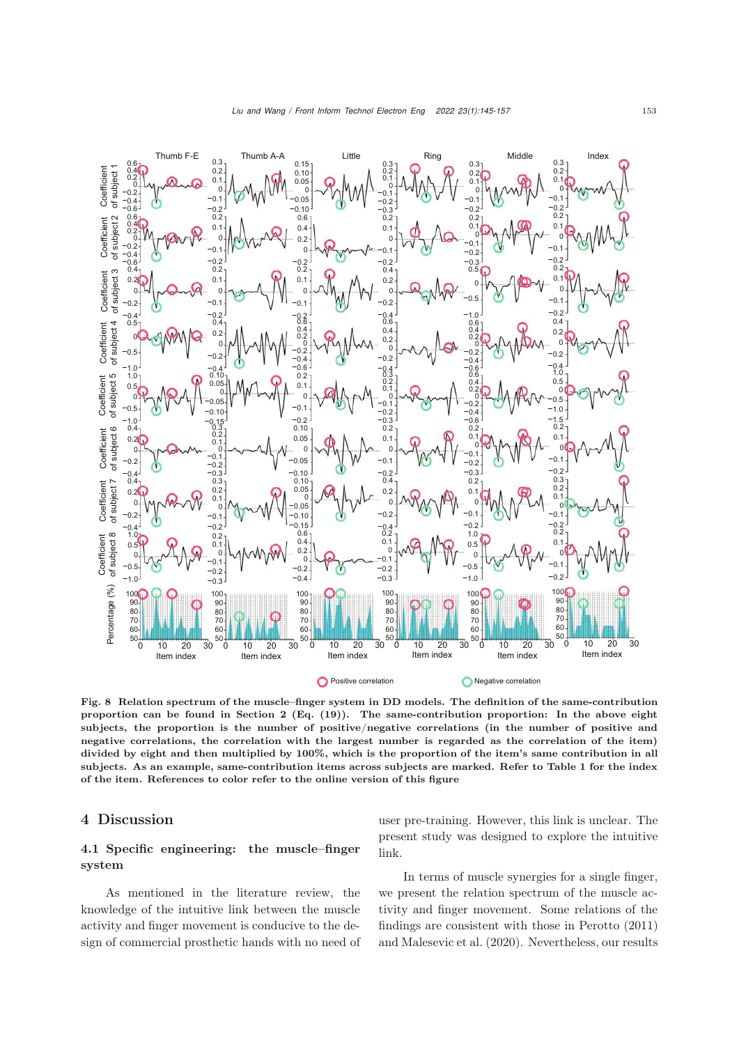

<span id="page-8-0"></span>Fig. 8 Relation spectrum of the muscle–finger system in DD models. The definition of the same-contribution proportion can be found in Section 2 (Eq.  $(19)$ ). The same-contribution proportion: In the above eight subjects, the proportion is the number of positive/negative correlations (in the number of positive and negative correlations, the correlation with the largest number is regarded as the correlation of the item) divided by eight and then multiplied by 100%, which is the proportion of the item's same contribution in all subjects. As an example, same-contribution items across subjects are marked. Refer to Table 1 for the index of the item. References to color refer to the online version of this figure

# 4 Discussion

# 4.1 Specific engineering: the muscle–finger system

As mentioned in the literature review, the knowledge of the intuitive link between the muscle activity and finger movement is conducive to the design of commercial prosthetic hands with no need of user pre-training. However, this link is unclear. The present study was designed to explore the intuitive link.

In terms of muscle synergies for a single finger, we present the relation spectrum of the muscle activity and finger movement. Some relations of the findings are consistent with those in [Perotto](#page-12-8) [\(2011](#page-12-8)) and [Malesevic et al.](#page-12-7) [\(2020](#page-12-7)). Nevertheless, our results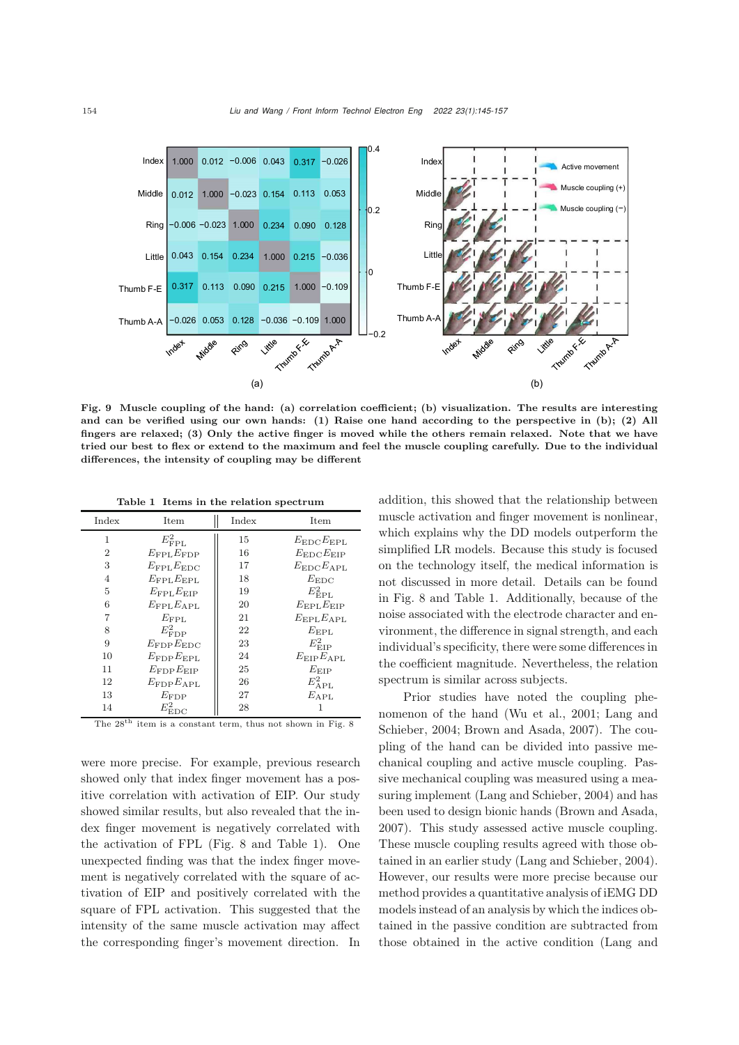

<span id="page-9-1"></span>Fig. 9 Muscle coupling of the hand: (a) correlation coefficient; (b) visualization. The results are interesting and can be verified using our own hands: (1) Raise one hand according to the perspective in (b); (2) All fingers are relaxed; (3) Only the active finger is moved while the others remain relaxed. Note that we have tried our best to flex or extend to the maximum and feel the muscle coupling carefully. Due to the individual differences, the intensity of coupling may be different

<span id="page-9-0"></span>Table 1 Items in the relation spectrum

| Index          | Item                     | Index | Item                     |
|----------------|--------------------------|-------|--------------------------|
| 1              | $E_{\mathrm{FPL}}^2$     | 15    | $E_{\rm EDC}E_{\rm EPL}$ |
| $\overline{2}$ | $E_{\rm FPL}E_{\rm FDP}$ | 16    | $E_{\rm EDC}E_{\rm EIP}$ |
| 3              | $E_{\rm FPL}E_{\rm EDC}$ | 17    | $E_{\rm EDC}E_{\rm APL}$ |
| 4              | $E_{\rm FPL}E_{\rm EPL}$ | 18    | $E_{\rm EDC}$            |
| 5              | $E_{\rm FPL}E_{\rm EIP}$ | 19    | $E_{\rm EPL}^2$          |
| 6              | $E_{\rm FPL}E_{\rm APL}$ | 20    | $E_{\rm EPL}E_{\rm EIP}$ |
| 7              | $E_{\rm FPL}$            | 21    | $E_{\rm EPL}E_{\rm APL}$ |
| 8              | $E^2_{\rm FDP}$          | 22    | $E_{\rm EPL}$            |
| 9              | $E_{\rm FDP}E_{\rm EDC}$ | 23    | $E_{\rm EIP}^2$          |
| 10             | $E_{\rm FDP}E_{\rm EPL}$ | 24    | $E_{\rm EIP}E_{\rm APL}$ |
| 11             | $E_{\rm FDP}E_{\rm EIP}$ | 25    | $E_{\rm EIP}$            |
| 12             | $E_{\rm FDP}E_{\rm APL}$ | 26    | $E^2_{\rm APL}$          |
| 13             | $E_{\rm FDP}$            | 27    | $E_{\rm APL}$            |
| 14             | $E^2_{\rm EDC}$          | 28    | 1                        |

The  $28<sup>th</sup>$  item is a constant term, thus not shown in Fig. [8](#page-8-0)

were more precise. For example, previous research showed only that index finger movement has a positive correlation with activation of EIP. Our study showed similar results, but also revealed that the index finger movement is negatively correlated with the activation of FPL (Fig. [8](#page-8-0) and Table [1\)](#page-9-0). One unexpected finding was that the index finger movement is negatively correlated with the square of activation of EIP and positively correlated with the square of FPL activation. This suggested that the intensity of the same muscle activation may affect the corresponding finger's movement direction. In

addition, this showed that the relationship between muscle activation and finger movement is nonlinear, which explains why the DD models outperform the simplified LR models. Because this study is focused on the technology itself, the medical information is not discussed in more detail. Details can be found in Fig. [8](#page-8-0) and Table [1.](#page-9-0) Additionally, because of the noise associated with the electrode character and environment, the difference in signal strength, and each individual's specificity, there were some differences in the coefficient magnitude. Nevertheless, the relation spectrum is similar across subjects.

Prior studies have noted the coupling phenomeno[n](#page-12-5) [of](#page-12-5) [the](#page-12-5) [hand](#page-12-5) [\(Wu et al.](#page-12-14)[,](#page-12-5) [2001;](#page-12-14) Lang and Schieber, [2004](#page-12-5); [Brown and Asada, 2007](#page-11-3)). The coupling of the hand can be divided into passive mechanical coupling and active muscle coupling. Passive mechanical coupling was measured using a measuring implement [\(Lang and Schieber, 2004\)](#page-12-5) and has been used to design bionic hands [\(Brown and Asada](#page-11-3), [2007](#page-11-3)). This study assessed active muscle coupling. These muscle coupling results agreed with those obtained in an earlier study [\(Lang and Schieber](#page-12-5), [2004\)](#page-12-5). However, our results were more precise because our method provides a quantitative analysis of iEMG DD models instead of an analysis by which the indices obtained in the passive condition are subtracted from those obtained in the active condition (Lang and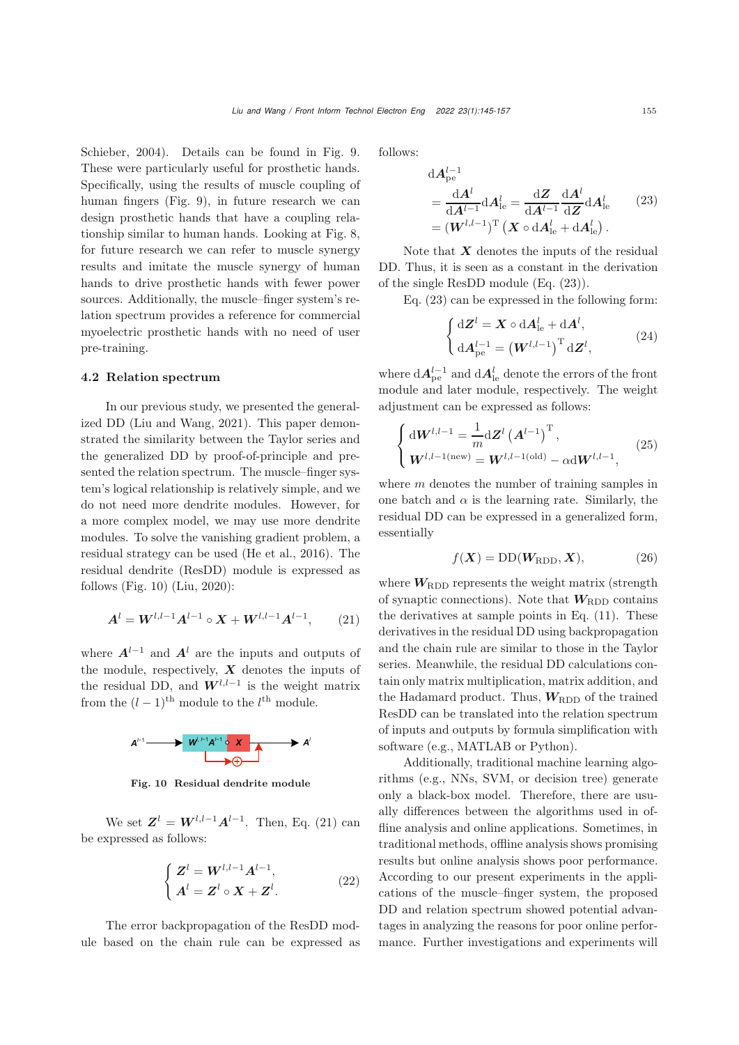Schieber, [2004\)](#page-12-5). Details can be found in Fig. [9.](#page-9-1) These were particularly useful for prosthetic hands. Specifically, using the results of muscle coupling of human fingers (Fig. [9\)](#page-9-1), in future research we can design prosthetic hands that have a coupling relationship similar to human hands. Looking at Fig. [8,](#page-8-0) for future research we can refer to muscle synergy results and imitate the muscle synergy of human hands to drive prosthetic hands with fewer power sources. Additionally, the muscle–finger system's relation spectrum provides a reference for commercial myoelectric prosthetic hands with no need of user pre-training.

#### 4.2 Relation spectrum

In our previous study, we presented the generalized DD [\(Liu and Wang](#page-12-6), [2021](#page-12-6)). This paper demonstrated the similarity between the Taylor series and the generalized DD by proof-of-principle and presented the relation spectrum. The muscle–finger system's logical relationship is relatively simple, and we do not need more dendrite modules. However, for a more complex model, we may use more dendrite modules. To solve the vanishing gradient problem, a residual strategy can be used [\(He et al., 2016\)](#page-11-9). The residual dendrite (ResDD) module is expressed as follows (Fig. [10\)](#page-10-0) [\(Liu, 2020\)](#page-12-15):

<span id="page-10-1"></span>
$$
A^{l} = W^{l, l-1} A^{l-1} \circ X + W^{l, l-1} A^{l-1}, \qquad (21)
$$

where  $A^{l-1}$  and  $A^l$  are the inputs and outputs of the module, respectively, *X* denotes the inputs of the residual DD, and  $W^{l,l-1}$  is the weight matrix from the  $(l-1)$ <sup>th</sup> module to the  $l$ <sup>th</sup> module.



<span id="page-10-0"></span>Fig. 10 Residual dendrite module

We set  $\mathbf{Z}^l = \mathbf{W}^{l,l-1}\mathbf{A}^{l-1}$ . Then, Eq. [\(21\)](#page-10-1) can be expressed as follows:

$$
\begin{cases}\nZ^{l} = W^{l,l-1}A^{l-1}, \\
A^{l} = Z^{l} \circ X + Z^{l}.\n\end{cases}
$$
\n(22)

The error backpropagation of the ResDD module based on the chain rule can be expressed as follows:

<span id="page-10-2"></span>
$$
dA_{\text{pe}}^{l-1}
$$
  
= 
$$
\frac{dA^l}{dA^{l-1}} dA_{\text{le}}^l = \frac{dZ}{dA^{l-1}} \frac{dA^l}{dZ} dA_{\text{le}}^l
$$
 (23)  
= 
$$
(\boldsymbol{W}^{l,l-1})^{\text{T}} (\boldsymbol{X} \circ dA_{\text{le}}^l + dA_{\text{le}}^l).
$$

Note that *X* denotes the inputs of the residual DD. Thus, it is seen as a constant in the derivation of the single ResDD module (Eq. [\(23\)](#page-10-2)).

Eq. [\(23\)](#page-10-2) can be expressed in the following form:

$$
\begin{cases} d\mathbf{Z}^{l} = \mathbf{X} \circ d\mathbf{A}_{\mathrm{le}}^{l} + d\mathbf{A}^{l}, \\ d\mathbf{A}_{\mathrm{pe}}^{l-1} = \left(\mathbf{W}^{l,l-1}\right)^{\mathrm{T}} d\mathbf{Z}^{l}, \end{cases} (24)
$$

where  $dA_{\text{pe}}^{l-1}$  and  $dA_{\text{le}}^{l}$  denote the errors of the front module and later module, respectively. The weight adjustment can be expressed as follows:

$$
\begin{cases} \mathrm{d} \mathbf{W}^{l,l-1} = \frac{1}{m} \mathrm{d} \mathbf{Z}^l \left( \mathbf{A}^{l-1} \right)^{\mathrm{T}}, \\ \mathbf{W}^{l,l-1(\mathrm{new})} = \mathbf{W}^{l,l-1(\mathrm{old})} - \alpha \mathrm{d} \mathbf{W}^{l,l-1}, \end{cases} (25)
$$

where  $m$  denotes the number of training samples in one batch and  $\alpha$  is the learning rate. Similarly, the residual DD can be expressed in a generalized form, essentially

$$
f(\mathbf{X}) = DD(\mathbf{W}_{\text{RDD}}, \mathbf{X}), \tag{26}
$$

where  $W_{\text{RDD}}$  represents the weight matrix (strength of synaptic connections). Note that  $W_{\text{RDD}}$  contains the derivatives at sample points in Eq. [\(11\)](#page-4-1). These derivatives in the residual DD using backpropagation and the chain rule are similar to those in the Taylor series. Meanwhile, the residual DD calculations contain only matrix multiplication, matrix addition, and the Hadamard product. Thus,  $W_{\text{RDD}}$  of the trained ResDD can be translated into the relation spectrum of inputs and outputs by formula simplification with software (e.g., MATLAB or Python).

Additionally, traditional machine learning algorithms (e.g., NNs, SVM, or decision tree) generate only a black-box model. Therefore, there are usually differences between the algorithms used in offline analysis and online applications. Sometimes, in traditional methods, offline analysis shows promising results but online analysis shows poor performance. According to our present experiments in the applications of the muscle–finger system, the proposed DD and relation spectrum showed potential advantages in analyzing the reasons for poor online performance. Further investigations and experiments will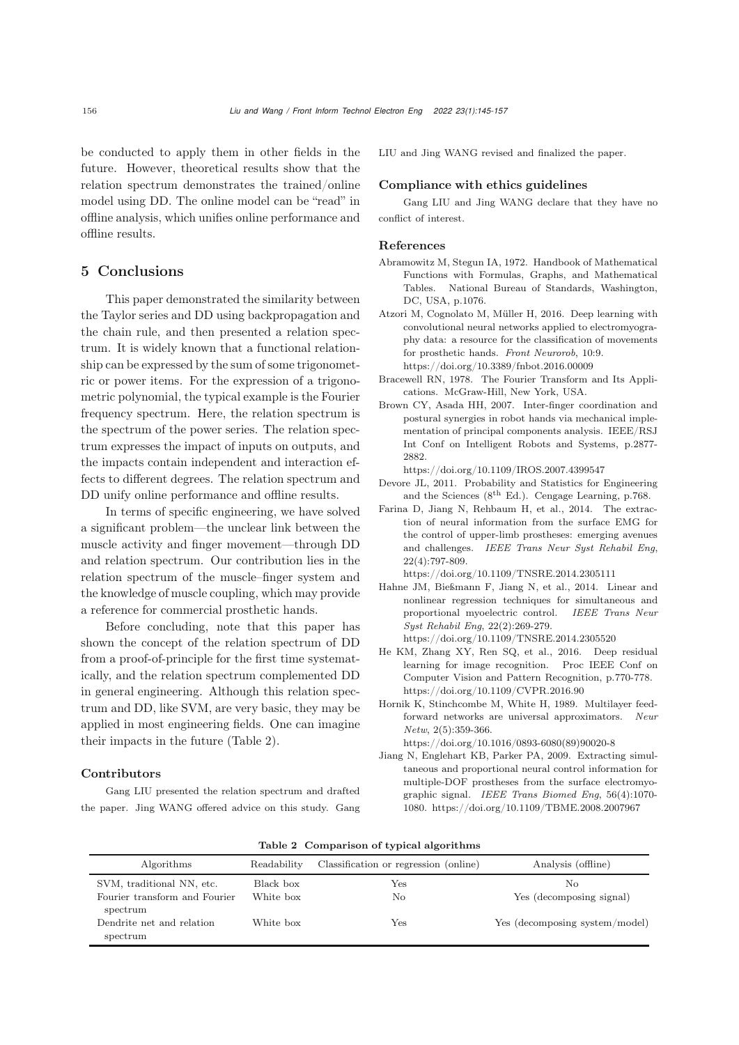be conducted to apply them in other fields in the future. However, theoretical results show that the relation spectrum demonstrates the trained/online model using DD. The online model can be "read" in offline analysis, which unifies online performance and offline results.

# 5 Conclusions

This paper demonstrated the similarity between the Taylor series and DD using backpropagation and the chain rule, and then presented a relation spectrum. It is widely known that a functional relationship can be expressed by the sum of some trigonometric or power items. For the expression of a trigonometric polynomial, the typical example is the Fourier frequency spectrum. Here, the relation spectrum is the spectrum of the power series. The relation spectrum expresses the impact of inputs on outputs, and the impacts contain independent and interaction effects to different degrees. The relation spectrum and DD unify online performance and offline results.

In terms of specific engineering, we have solved a significant problem—the unclear link between the muscle activity and finger movement—through DD and relation spectrum. Our contribution lies in the relation spectrum of the muscle–finger system and the knowledge of muscle coupling, which may provide a reference for commercial prosthetic hands.

Before concluding, note that this paper has shown the concept of the relation spectrum of DD from a proof-of-principle for the first time systematically, and the relation spectrum complemented DD in general engineering. Although this relation spectrum and DD, like SVM, are very basic, they may be applied in most engineering fields. One can imagine their impacts in the future (Table [2\)](#page-11-10).

#### Contributors

Gang LIU presented the relation spectrum and drafted the paper. Jing WANG offered advice on this study. Gang LIU and Jing WANG revised and finalized the paper.

# Compliance with ethics guidelines

Gang LIU and Jing WANG declare that they have no conflict of interest.

#### References

- <span id="page-11-7"></span>Abramowitz M, Stegun IA, 1972. Handbook of Mathematical Functions with Formulas, Graphs, and Mathematical Tables. National Bureau of Standards, Washington, DC, USA, p.1076.
- <span id="page-11-1"></span>Atzori M, Cognolato M, Müller H, 2016. Deep learning with convolutional neural networks applied to electromyography data: a resource for the classification of movements for prosthetic hands. *Front Neurorob*, 10:9. https://doi.org/10.3389/fnbot.2016.00009
- <span id="page-11-4"></span>Bracewell RN, 1978. The Fourier Transform and Its Applications. McGraw-Hill, New York, USA.
- <span id="page-11-3"></span>Brown CY, Asada HH, 2007. Inter-finger coordination and postural synergies in robot hands via mechanical implementation of principal components analysis. IEEE/RSJ Int Conf on Intelligent Robots and Systems, p.2877- 2882.

https://doi.org/10.1109/IROS.2007.4399547

- <span id="page-11-8"></span>Devore JL, 2011. Probability and Statistics for Engineering and the Sciences ( $8^{\text{th}}$  Ed.). Cengage Learning, p.768.
- <span id="page-11-0"></span>Farina D, Jiang N, Rehbaum H, et al., 2014. The extraction of neural information from the surface EMG for the control of upper-limb prostheses: emerging avenues and challenges. *IEEE Trans Neur Syst Rehabil Eng*, 22(4):797-809.

https://doi.org/10.1109/TNSRE.2014.2305111

- <span id="page-11-5"></span>Hahne JM, Bießmann F, Jiang N, et al., 2014. Linear and nonlinear regression techniques for simultaneous and proportional myoelectric control. *IEEE Trans Neur Syst Rehabil Eng*, 22(2):269-279. https://doi.org/10.1109/TNSRE.2014.2305520
- <span id="page-11-9"></span>He KM, Zhang XY, Ren SQ, et al., 2016. Deep residual learning for image recognition. Proc IEEE Conf on Computer Vision and Pattern Recognition, p.770-778. https://doi.org/10.1109/CVPR.2016.90
- <span id="page-11-6"></span>Hornik K, Stinchcombe M, White H, 1989. Multilayer feedforward networks are universal approximators. *Neur Netw*, 2(5):359-366.
	- https://doi.org/10.1016/0893-6080(89)90020-8
- <span id="page-11-2"></span>Jiang N, Englehart KB, Parker PA, 2009. Extracting simultaneous and proportional neural control information for multiple-DOF prostheses from the surface electromyographic signal. *IEEE Trans Biomed Eng*, 56(4):1070- 1080. https://doi.org/10.1109/TBME.2008.2007967

<span id="page-11-10"></span>

|  | Table 2 Comparison of typical algorithms |  |  |
|--|------------------------------------------|--|--|
|--|------------------------------------------|--|--|

| Algorithms                                | Readability | Classification or regression (online) | Analysis (offline)             |
|-------------------------------------------|-------------|---------------------------------------|--------------------------------|
| SVM, traditional NN, etc.                 | Black box   | Yes                                   | No                             |
| Fourier transform and Fourier<br>spectrum | White box   | No                                    | Yes (decomposing signal)       |
| Dendrite net and relation<br>spectrum     | White box   | Yes                                   | Yes (decomposing system/model) |